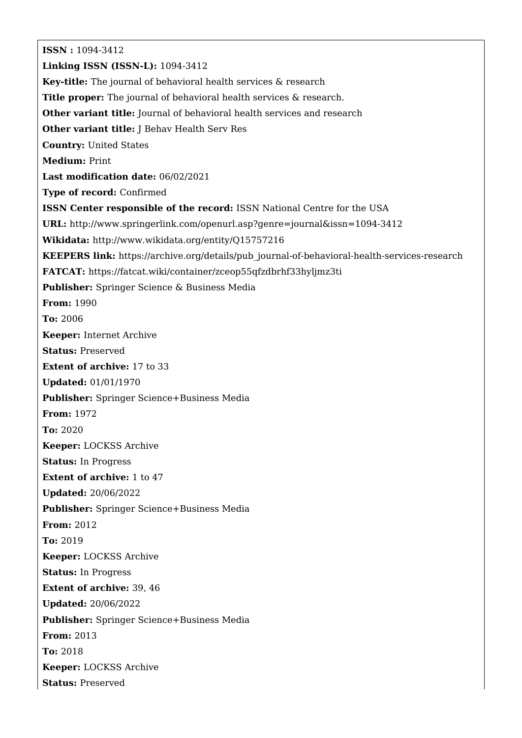**ISSN :** 1094-3412 **Linking ISSN (ISSN-L):** 1094-3412 **Key-title:** The journal of behavioral health services & research **Title proper:** The journal of behavioral health services & research. **Other variant title:** Journal of behavioral health services and research **Other variant title:** J Behav Health Serv Res **Country:** United States **Medium:** Print **Last modification date:** 06/02/2021 **Type of record:** Confirmed **ISSN Center responsible of the record:** ISSN National Centre for the USA **URL:** <http://www.springerlink.com/openurl.asp?genre=journal&issn=1094-3412> **Wikidata:** <http://www.wikidata.org/entity/Q15757216> **KEEPERS link:** [https://archive.org/details/pub\\_journal-of-behavioral-health-services-research](https://archive.org/details/pub_journal-of-behavioral-health-services-research) **FATCAT:** <https://fatcat.wiki/container/zceop55qfzdbrhf33hyljmz3ti> **Publisher:** Springer Science & Business Media **From:** 1990 **To:** 2006 **Keeper:** Internet Archive **Status:** Preserved **Extent of archive:** 17 to 33 **Updated:** 01/01/1970 **Publisher:** Springer Science+Business Media **From:** 1972 **To:** 2020 **Keeper:** LOCKSS Archive **Status:** In Progress **Extent of archive:** 1 to 47 **Updated:** 20/06/2022 **Publisher:** Springer Science+Business Media **From:** 2012 **To:** 2019 **Keeper:** LOCKSS Archive **Status:** In Progress **Extent of archive:** 39, 46 **Updated:** 20/06/2022 **Publisher:** Springer Science+Business Media **From:** 2013 **To:** 2018 **Keeper:** LOCKSS Archive **Status:** Preserved